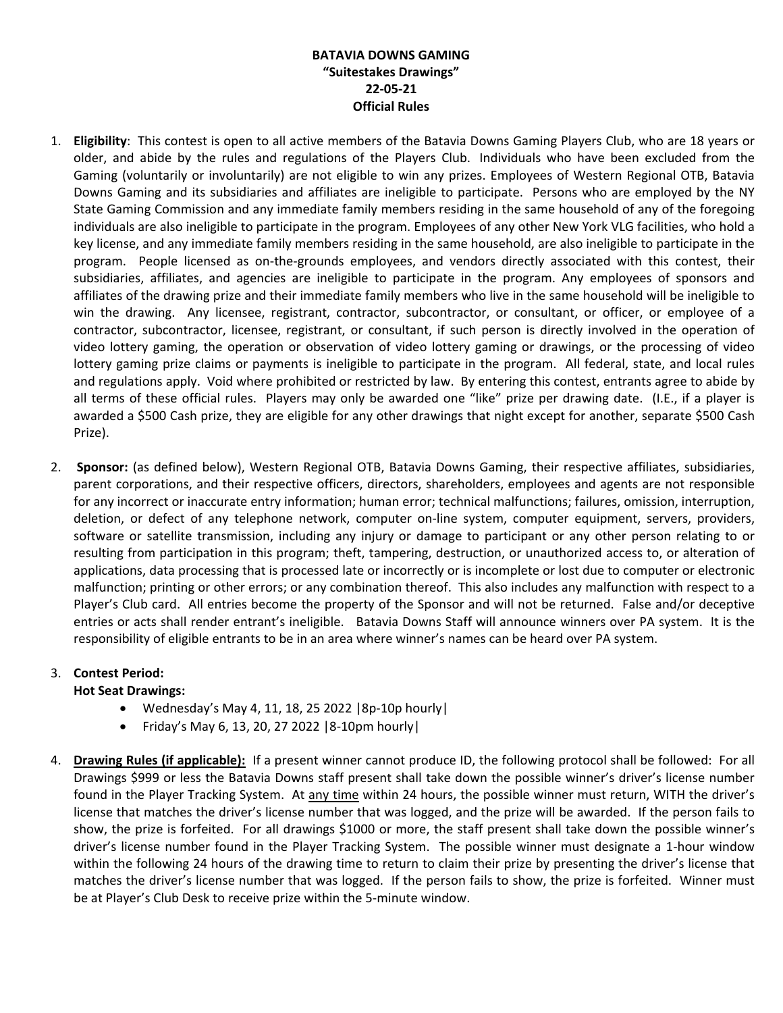## **BATAVIA DOWNS GAMING "Suitestakes Drawings" 22-05-21 Official Rules**

- 1. **Eligibility**: This contest is open to all active members of the Batavia Downs Gaming Players Club, who are 18 years or older, and abide by the rules and regulations of the Players Club. Individuals who have been excluded from the Gaming (voluntarily or involuntarily) are not eligible to win any prizes. Employees of Western Regional OTB, Batavia Downs Gaming and its subsidiaries and affiliates are ineligible to participate. Persons who are employed by the NY State Gaming Commission and any immediate family members residing in the same household of any of the foregoing individuals are also ineligible to participate in the program. Employees of any other New York VLG facilities, who hold a key license, and any immediate family members residing in the same household, are also ineligible to participate in the program. People licensed as on-the-grounds employees, and vendors directly associated with this contest, their subsidiaries, affiliates, and agencies are ineligible to participate in the program. Any employees of sponsors and affiliates of the drawing prize and their immediate family members who live in the same household will be ineligible to win the drawing. Any licensee, registrant, contractor, subcontractor, or consultant, or officer, or employee of a contractor, subcontractor, licensee, registrant, or consultant, if such person is directly involved in the operation of video lottery gaming, the operation or observation of video lottery gaming or drawings, or the processing of video lottery gaming prize claims or payments is ineligible to participate in the program. All federal, state, and local rules and regulations apply. Void where prohibited or restricted by law. By entering this contest, entrants agree to abide by all terms of these official rules. Players may only be awarded one "like" prize per drawing date. (I.E., if a player is awarded a \$500 Cash prize, they are eligible for any other drawings that night except for another, separate \$500 Cash Prize).
- 2. **Sponsor:** (as defined below), Western Regional OTB, Batavia Downs Gaming, their respective affiliates, subsidiaries, parent corporations, and their respective officers, directors, shareholders, employees and agents are not responsible for any incorrect or inaccurate entry information; human error; technical malfunctions; failures, omission, interruption, deletion, or defect of any telephone network, computer on-line system, computer equipment, servers, providers, software or satellite transmission, including any injury or damage to participant or any other person relating to or resulting from participation in this program; theft, tampering, destruction, or unauthorized access to, or alteration of applications, data processing that is processed late or incorrectly or is incomplete or lost due to computer or electronic malfunction; printing or other errors; or any combination thereof. This also includes any malfunction with respect to a Player's Club card. All entries become the property of the Sponsor and will not be returned. False and/or deceptive entries or acts shall render entrant's ineligible. Batavia Downs Staff will announce winners over PA system. It is the responsibility of eligible entrants to be in an area where winner's names can be heard over PA system.

## 3. **Contest Period:**

## **Hot Seat Drawings:**

- Wednesday's May 4, 11, 18, 25 2022 |8p-10p hourly|
- Friday's May 6, 13, 20, 27 2022  $|8-10$ pm hourly
- 4. **Drawing Rules (if applicable):** If a present winner cannot produce ID, the following protocol shall be followed: For all Drawings \$999 or less the Batavia Downs staff present shall take down the possible winner's driver's license number found in the Player Tracking System. At any time within 24 hours, the possible winner must return, WITH the driver's license that matches the driver's license number that was logged, and the prize will be awarded. If the person fails to show, the prize is forfeited. For all drawings \$1000 or more, the staff present shall take down the possible winner's driver's license number found in the Player Tracking System. The possible winner must designate a 1-hour window within the following 24 hours of the drawing time to return to claim their prize by presenting the driver's license that matches the driver's license number that was logged. If the person fails to show, the prize is forfeited. Winner must be at Player's Club Desk to receive prize within the 5-minute window.